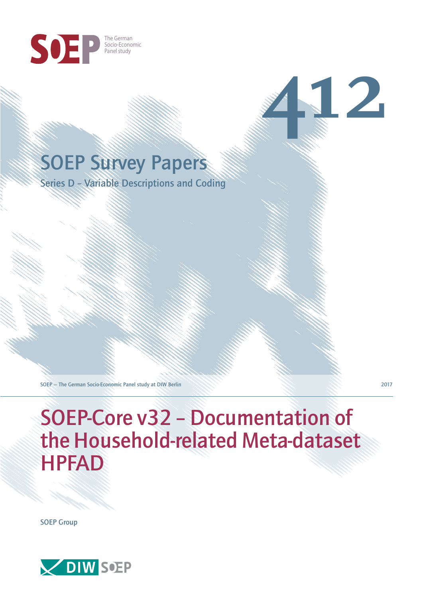

# SOEP Survey Papers

Series D – Variable Descriptions and Coding

SOEP — The German Socio-Economic Panel study at DIW Berlin 2017

**412**

SOEP-Core v32 – Documentation of the Household-related Meta-dataset HPFAD

SOEP Group

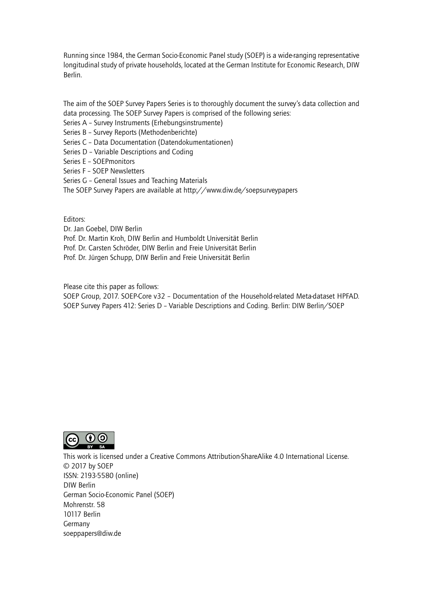Running since 1984, the German Socio-Economic Panel study (SOEP) is a wide-ranging representative longitudinal study of private households, located at the German Institute for Economic Research, DIW Berlin.

The aim of the SOEP Survey Papers Series is to thoroughly document the survey's data collection and data processing. The SOEP Survey Papers is comprised of the following series:

- Series A Survey Instruments (Erhebungsinstrumente)
- Series B Survey Reports (Methodenberichte)
- Series C Data Documentation (Datendokumentationen)
- Series D Variable Descriptions and Coding
- Series E SOEPmonitors
- Series F SOEP Newsletters
- Series G General Issues and Teaching Materials
- The SOEP Survey Papers are available at http://www.diw.de/soepsurveypapers

Editors:

Dr. Jan Goebel, DIW Berlin

- Prof. Dr. Martin Kroh, DIW Berlin and Humboldt Universität Berlin
- Prof. Dr. Carsten Schröder, DIW Berlin and Freie Universität Berlin
- Prof. Dr. Jürgen Schupp, DIW Berlin and Freie Universität Berlin

Please cite this paper as follows:

SOEP Group, 2017. SOEP-Core v32 – Documentation of the Household-related Meta-dataset HPFAD. SOEP Survey Papers 412: Series D – Variable Descriptions and Coding. Berlin: DIW Berlin/SOEP



This work is licensed under a Creative Commons Attribution-ShareAlike 4.0 International License. © 2017 by SOEP ISSN: 2193-5580 (online) DIW Berlin German Socio-Economic Pan[el \(SOEP\)](http://creativecommons.org/licenses/by-sa/4.0/) Mohrenstr. 58 10117 Berlin Germany soeppapers@diw.de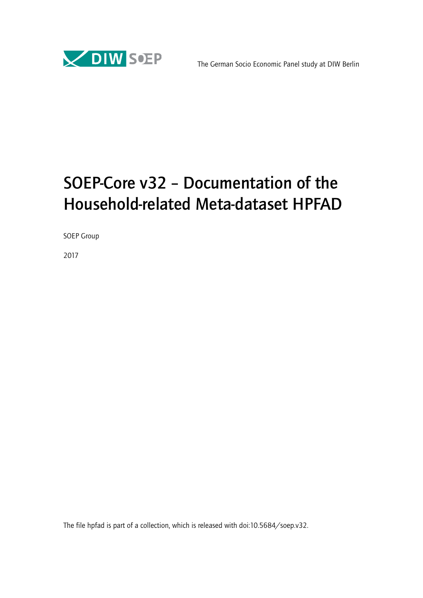

## SOEP-Core v32 – Documentation of the Household-related Meta-dataset HPFAD

SOEP Group

2017

The file hpfad is part of a collection, which is released with doi:10.5684/soep.v32.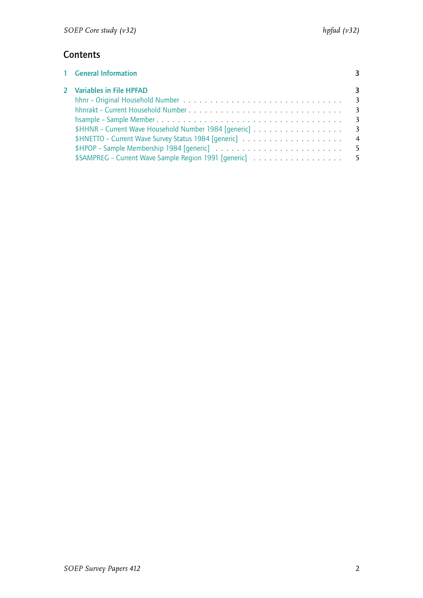## **Contents**

| 1 General Information                                                                                    |  |
|----------------------------------------------------------------------------------------------------------|--|
| 2 Variables in File HPFAD                                                                                |  |
|                                                                                                          |  |
|                                                                                                          |  |
|                                                                                                          |  |
| \$HHNR - Current Wave Household Number 1984 [generic] 3                                                  |  |
| $$HNETTO - Current Wave Survey Status 1984 [generic \dots \dots \dots \dots \dots \dots \dots \dots \ 4$ |  |
| \$HPOP – Sample Membership 1984 [qeneric] $\ldots \ldots \ldots \ldots \ldots \ldots \ldots \ldots$      |  |
| \$SAMPREG - Current Wave Sample Region 1991 [generic] 5                                                  |  |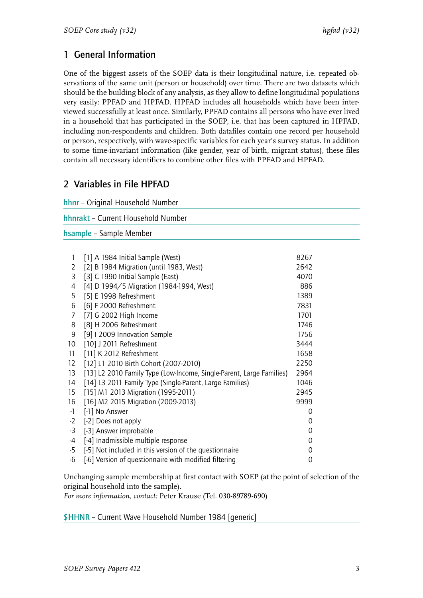## <span id="page-4-0"></span>1 General Information

One of the biggest assets of the SOEP data is their longitudinal nature, i.e. repeated observations of the same unit (person or household) over time. There are two datasets which should be the building block of any analysis, as they allow to define longitudinal populations very easily: PPFAD and HPFAD. HPFAD includes all households which have been interviewed successfully at least once. Similarly, PPFAD contains all persons who have ever lived in a household that has participated in the SOEP, i.e. that has been captured in HPFAD, including non-respondents and children. Both datafiles contain one record per household or person, respectively, with wave-specific variables for each year's survey status. In addition to some time-invariant information (like gender, year of birth, migrant status), these files contain all necessary identifiers to combine other files with PPFAD and HPFAD.

## <span id="page-4-1"></span>2 Variables in File HPFAD

<span id="page-4-4"></span><span id="page-4-3"></span><span id="page-4-2"></span>

|                                    | hhnr - Original Household Number                                     |             |  |
|------------------------------------|----------------------------------------------------------------------|-------------|--|
| hhnrakt - Current Household Number |                                                                      |             |  |
|                                    | hsample - Sample Member                                              |             |  |
|                                    |                                                                      |             |  |
| 1                                  | [1] A 1984 Initial Sample (West)                                     | 8267        |  |
| 2                                  | [2] B 1984 Migration (until 1983, West)                              | 2642        |  |
| 3                                  | [3] C 1990 Initial Sample (East)                                     | 4070        |  |
| 4                                  | [4] D 1994/5 Migration (1984-1994, West)                             | 886         |  |
| 5                                  | [5] E 1998 Refreshment                                               | 1389        |  |
| 6                                  | [6] F 2000 Refreshment                                               | 7831        |  |
| 7                                  | [7] G 2002 High Income                                               | 1701        |  |
| 8                                  | [8] H 2006 Refreshment                                               | 1746        |  |
| 9                                  | [9] I 2009 Innovation Sample                                         | 1756        |  |
| 10 <sup>°</sup>                    | [10] J 2011 Refreshment                                              | 3444        |  |
| 11                                 | [11] K 2012 Refreshment                                              | 1658        |  |
| $12 \overline{ }$                  | [12] L1 2010 Birth Cohort (2007-2010)                                | 2250        |  |
| 13                                 | [13] L2 2010 Family Type (Low-Income, Single-Parent, Large Families) | 2964        |  |
| 14                                 | [14] L3 2011 Family Type (Single-Parent, Large Families)             | 1046        |  |
| 15                                 | [15] M1 2013 Migration (1995-2011)                                   | 2945        |  |
| 16                                 | [16] M2 2015 Migration (2009-2013)                                   | 9999        |  |
| $-1$                               | [-1] No Answer                                                       | 0           |  |
| $-2$                               | [-2] Does not apply                                                  | 0           |  |
| $-3$                               | [-3] Answer improbable                                               | 0           |  |
| $-4$                               | [-4] Inadmissible multiple response                                  | $\mathbf 0$ |  |
| $-5$                               | [-5] Not included in this version of the questionnaire               | 0           |  |
| $-6$                               | [-6] Version of questionnaire with modified filtering                | 0           |  |

Unchanging sample membership at first contact with SOEP (at the point of selection of the original household into the sample).

*For more information, contact:* Peter Krause (Tel. 030-89789-690)

<span id="page-4-5"></span>\$HHNR – Current Wave Household Number 1984 [generic]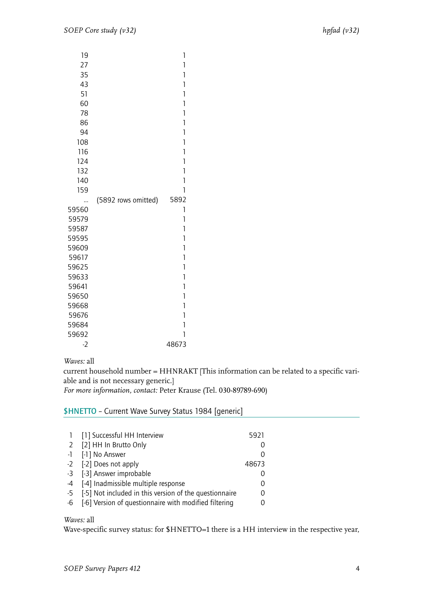| 19    |                     | 1              |
|-------|---------------------|----------------|
| 27    |                     | 1              |
| 35    |                     | $\mathbf{1}$   |
| 43    |                     | 1              |
| 51    |                     | 1              |
| 60    |                     | $\mathbf{1}$   |
| 78    |                     | 1              |
| 86    |                     | $\mathbf{1}$   |
| 94    |                     | 1              |
| 108   |                     | 1              |
| 116   |                     | 1              |
| 124   |                     | 1              |
| 132   |                     | $\mathbf{1}$   |
| 140   |                     | 1              |
| 159   |                     | 1              |
|       | (5892 rows omitted) | 5892           |
| 59560 |                     | 1              |
| 59579 |                     | $\mathbf{1}$   |
| 59587 |                     | 1              |
| 59595 |                     | 1              |
| 59609 |                     | 1              |
| 59617 |                     | $\overline{1}$ |
| 59625 |                     | 1              |
| 59633 |                     | 1              |
| 59641 |                     | $\mathbf{1}$   |
| 59650 |                     | 1              |
| 59668 |                     | $\overline{1}$ |
| 59676 |                     | 1              |
| 59684 |                     | 1              |
| 59692 |                     | 1              |
| $-2$  |                     | 48673          |

*Waves:* all

current household number = HHNRAKT [This information can be related to a specific variable and is not necessary generic.]

*For more information, contact:* Peter Krause (Tel. 030-89789-690)

\$HNETTO – Current Wave Survey Status 1984 [generic]

| 1 [1] Successful HH Interview                             | 5921  |
|-----------------------------------------------------------|-------|
| 2 [2] HH In Brutto Only                                   |       |
| -1 [-1] No Answer                                         |       |
| -2 [-2] Does not apply                                    | 48673 |
| -3 [-3] Answer improbable                                 |       |
| -4 [-4] Inadmissible multiple response                    | 0     |
| -5 [-5] Not included in this version of the questionnaire | 0     |
| -6 [-6] Version of questionnaire with modified filtering  |       |

#### *Waves:* all

Wave-specific survey status: for \$HNETTO=1 there is a HH interview in the respective year,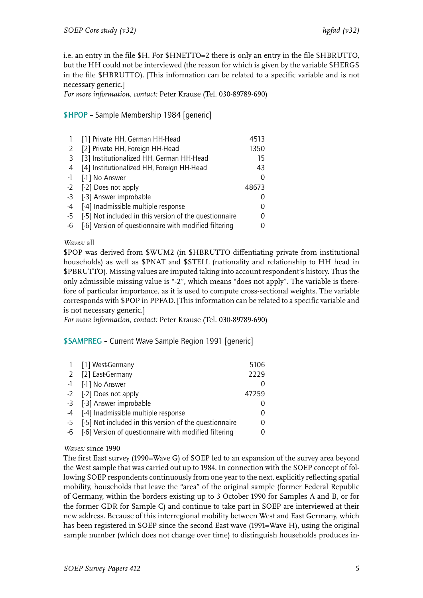i.e. an entry in the file \$H. For \$HNETTO=2 there is only an entry in the file \$HBRUTTO, but the HH could not be interviewed (the reason for which is given by the variable \$HERGS in the file \$HBRUTTO). [This information can be related to a specific variable and is not necessary generic.]

*For more information, contact:* Peter Krause (Tel. 030-89789-690)

### \$HPOP – Sample Membership 1984 [generic]

|      | [1] Private HH, German HH-Head                         | 4513  |
|------|--------------------------------------------------------|-------|
|      | [2] Private HH, Foreign HH-Head                        | 1350  |
| -3   | [3] Institutionalized HH, German HH-Head               | 15    |
| 4    | [4] Institutionalized HH, Foreign HH-Head              | 43    |
| $-1$ | [-1] No Answer                                         | 0     |
|      | -2 [-2] Does not apply                                 | 48673 |
| $-3$ | [-3] Answer improbable                                 |       |
| $-4$ | [-4] Inadmissible multiple response                    |       |
| $-5$ | [-5] Not included in this version of the questionnaire |       |
| -6   | [-6] Version of questionnaire with modified filtering  |       |

#### *Waves:* all

\$POP was derived from \$WUM2 (in \$HBRUTTO diffentiating private from institutional households) as well as \$PNAT and \$STELL (nationality and relationship to HH head in \$PBRUTTO). Missing values are imputed taking into account respondent's history. Thus the only admissible missing value is "-2", which means "does not apply". The variable is therefore of particular importance, as it is used to compute cross-sectional weights. The variable corresponds with \$POP in PPFAD. [This information can be related to a specific variable and is not necessary generic.]

*For more information, contact:* Peter Krause (Tel. 030-89789-690)

\$SAMPREG – Current Wave Sample Region 1991 [generic]

|      | 1 [1] West-Germany                                     | 5106     |
|------|--------------------------------------------------------|----------|
|      | 2 [2] East-Germany                                     | 2229     |
|      | -1 [-1] No Answer                                      |          |
|      | -2 [-2] Does not apply                                 | 47259    |
|      | -3 [-3] Answer improbable                              |          |
|      | -4 [-4] Inadmissible multiple response                 |          |
| $-5$ | [-5] Not included in this version of the questionnaire | $\Omega$ |
| -6   | [-6] Version of questionnaire with modified filtering  |          |

#### *Waves:* since 1990

The first East survey (1990=Wave G) of SOEP led to an expansion of the survey area beyond the West sample that was carried out up to 1984. In connection with the SOEP concept of following SOEP respondents continuously from one year to the next, explicitly reflecting spatial mobility, households that leave the "area" of the original sample (former Federal Republic of Germany, within the borders existing up to 3 October 1990 for Samples A and B, or for the former GDR for Sample C) and continue to take part in SOEP are interviewed at their new address. Because of this interregional mobility between West and East Germany, which has been registered in SOEP since the second East wave (1991=Wave H), using the original sample number (which does not change over time) to distinguish households produces in